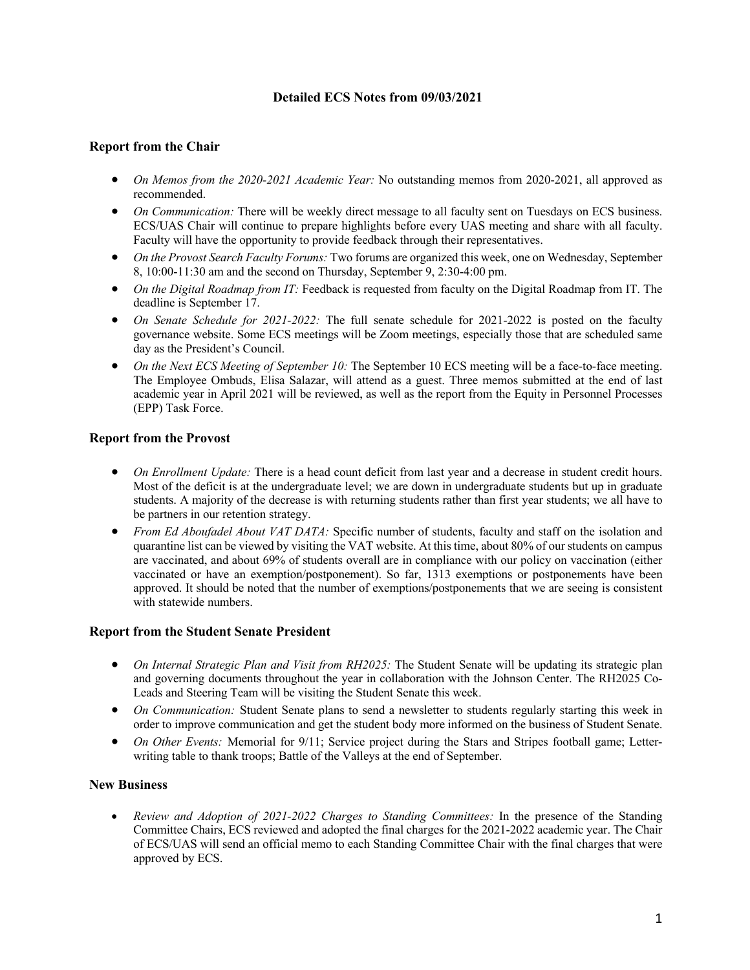# **Detailed ECS Notes from 09/03/2021**

### **Report from the Chair**

- *On Memos from the 2020-2021 Academic Year:* No outstanding memos from 2020-2021, all approved as recommended.
- *On Communication:* There will be weekly direct message to all faculty sent on Tuesdays on ECS business. ECS/UAS Chair will continue to prepare highlights before every UAS meeting and share with all faculty. Faculty will have the opportunity to provide feedback through their representatives.
- *On the Provost Search Faculty Forums:* Two forums are organized this week, one on Wednesday, September 8, 10:00-11:30 am and the second on Thursday, September 9, 2:30-4:00 pm.
- *On the Digital Roadmap from IT:* Feedback is requested from faculty on the Digital Roadmap from IT. The deadline is September 17.
- *On Senate Schedule for 2021-2022:* The full senate schedule for 2021-2022 is posted on the faculty governance website. Some ECS meetings will be Zoom meetings, especially those that are scheduled same day as the President's Council.
- *On the Next ECS Meeting of September 10:* The September 10 ECS meeting will be a face-to-face meeting. The Employee Ombuds, Elisa Salazar, will attend as a guest. Three memos submitted at the end of last academic year in April 2021 will be reviewed, as well as the report from the Equity in Personnel Processes (EPP) Task Force.

## **Report from the Provost**

- *On Enrollment Update:* There is a head count deficit from last year and a decrease in student credit hours. Most of the deficit is at the undergraduate level; we are down in undergraduate students but up in graduate students. A majority of the decrease is with returning students rather than first year students; we all have to be partners in our retention strategy.
- *From Ed Aboufadel About VAT DATA:* Specific number of students, faculty and staff on the isolation and quarantine list can be viewed by visiting the VAT website. At this time, about 80% of our students on campus are vaccinated, and about 69% of students overall are in compliance with our policy on vaccination (either vaccinated or have an exemption/postponement). So far, 1313 exemptions or postponements have been approved. It should be noted that the number of exemptions/postponements that we are seeing is consistent with statewide numbers.

#### **Report from the Student Senate President**

- *On Internal Strategic Plan and Visit from RH2025:* The Student Senate will be updating its strategic plan and governing documents throughout the year in collaboration with the Johnson Center. The RH2025 Co-Leads and Steering Team will be visiting the Student Senate this week.
- *On Communication:* Student Senate plans to send a newsletter to students regularly starting this week in order to improve communication and get the student body more informed on the business of Student Senate.
- *On Other Events:* Memorial for 9/11; Service project during the Stars and Stripes football game; Letterwriting table to thank troops; Battle of the Valleys at the end of September.

#### **New Business**

• *Review and Adoption of 2021-2022 Charges to Standing Committees:* In the presence of the Standing Committee Chairs, ECS reviewed and adopted the final charges for the 2021-2022 academic year. The Chair of ECS/UAS will send an official memo to each Standing Committee Chair with the final charges that were approved by ECS.